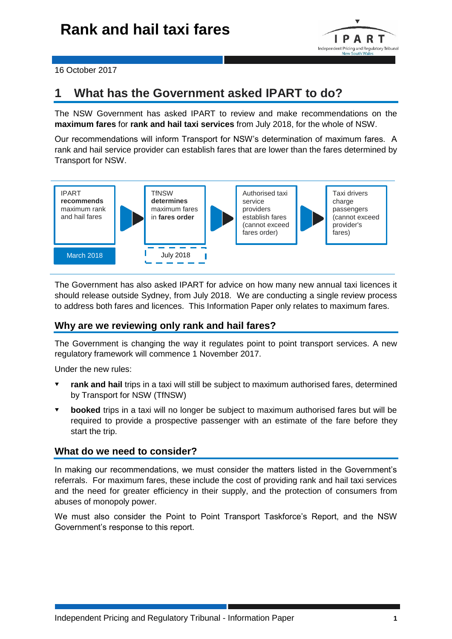

16 October 2017

## **1 What has the Government asked IPART to do?**

The NSW Government has asked IPART to review and make recommendations on the **maximum fares** for **rank and hail taxi services** from July 2018, for the whole of NSW.

Our recommendations will inform Transport for NSW's determination of maximum fares. A rank and hail service provider can establish fares that are lower than the fares determined by Transport for NSW.



The Government has also asked IPART for advice on how many new annual taxi licences it should release outside Sydney, from July 2018. We are conducting a single review process to address both fares and licences. This Information Paper only relates to maximum fares.

## **Why are we reviewing only rank and hail fares?**

The Government is changing the way it regulates point to point transport services. A new regulatory framework will commence 1 November 2017.

Under the new rules:

- **rank and hail** trips in a taxi will still be subject to maximum authorised fares, determined by Transport for NSW (TfNSW)
- **booked** trips in a taxi will no longer be subject to maximum authorised fares but will be required to provide a prospective passenger with an estimate of the fare before they start the trip.

## **What do we need to consider?**

In making our recommendations, we must consider the matters listed in the Government's referrals. For maximum fares, these include the cost of providing rank and hail taxi services and the need for greater efficiency in their supply, and the protection of consumers from abuses of monopoly power.

We must also consider the Point to Point Transport Taskforce's Report, and the NSW Government's response to this report.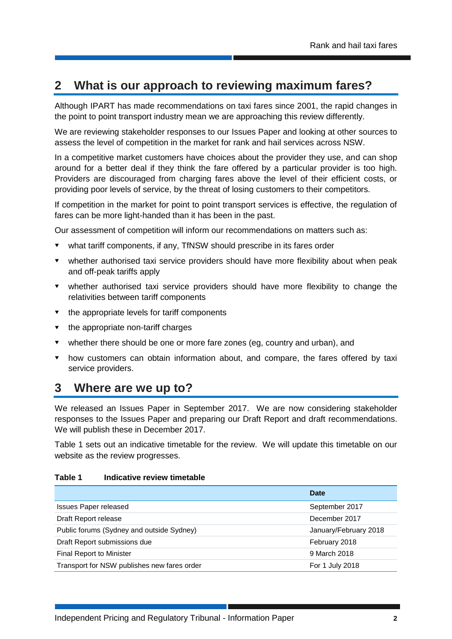# **2 What is our approach to reviewing maximum fares?**

Although IPART has made recommendations on taxi fares since 2001, the rapid changes in the point to point transport industry mean we are approaching this review differently.

We are reviewing stakeholder responses to our Issues Paper and looking at other sources to assess the level of competition in the market for rank and hail services across NSW.

In a competitive market customers have choices about the provider they use, and can shop around for a better deal if they think the fare offered by a particular provider is too high. Providers are discouraged from charging fares above the level of their efficient costs, or providing poor levels of service, by the threat of losing customers to their competitors.

If competition in the market for point to point transport services is effective, the regulation of fares can be more light-handed than it has been in the past.

Our assessment of competition will inform our recommendations on matters such as:

- what tariff components, if any, TfNSW should prescribe in its fares order
- whether authorised taxi service providers should have more flexibility about when peak and off-peak tariffs apply
- whether authorised taxi service providers should have more flexibility to change the relativities between tariff components
- $\bullet$  the appropriate levels for tariff components
- $\bullet$  the appropriate non-tariff charges
- whether there should be one or more fare zones (eg, country and urban), and
- how customers can obtain information about, and compare, the fares offered by taxi service providers.

## **3 Where are we up to?**

We released an Issues Paper in September 2017. We are now considering stakeholder responses to the Issues Paper and preparing our Draft Report and draft recommendations. We will publish these in December 2017.

Table 1 sets out an indicative timetable for the review. We will update this timetable on our website as the review progresses.

#### **Table 1 Indicative review timetable**

|                                             | Date                  |
|---------------------------------------------|-----------------------|
| <b>Issues Paper released</b>                | September 2017        |
| Draft Report release                        | December 2017         |
| Public forums (Sydney and outside Sydney)   | January/February 2018 |
| Draft Report submissions due                | February 2018         |
| <b>Final Report to Minister</b>             | 9 March 2018          |
| Transport for NSW publishes new fares order | For 1 July 2018       |